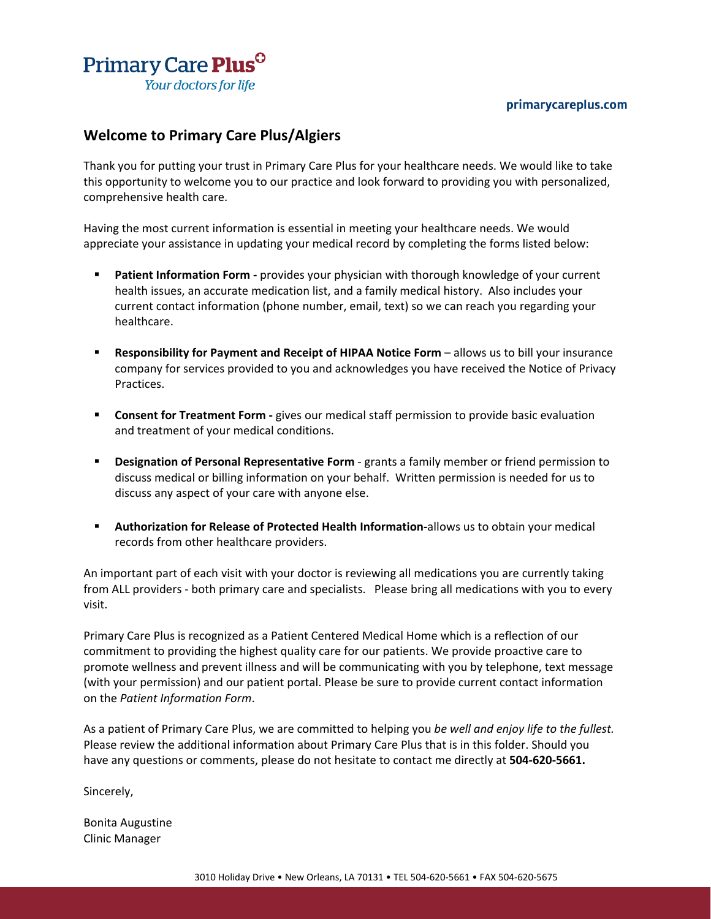#### primarycareplus.com



# **Welcome to Primary Care Plus/Algiers**

Thank you for putting your trust in Primary Care Plus for your healthcare needs. We would like to take this opportunity to welcome you to our practice and look forward to providing you with personalized, comprehensive health care.

Having the most current information is essential in meeting your healthcare needs. We would appreciate your assistance in updating your medical record by completing the forms listed below:

- **Patient Information Form -** provides your physician with thorough knowledge of your current health issues, an accurate medication list, and a family medical history. Also includes your current contact information (phone number, email, text) so we can reach you regarding your healthcare.
- **Responsibility for Payment and Receipt of HIPAA Notice Form allows us to bill your insurance** company for services provided to you and acknowledges you have received the Notice of Privacy Practices.
- **Consent for Treatment Form -** gives our medical staff permission to provide basic evaluation and treatment of your medical conditions.
- **Designation of Personal Representative Form**  grants a family member or friend permission to discuss medical or billing information on your behalf. Written permission is needed for us to discuss any aspect of your care with anyone else.
- **Authorization for Release of Protected Health Information-allows us to obtain your medical** records from other healthcare providers.

An important part of each visit with your doctor is reviewing all medications you are currently taking from ALL providers - both primary care and specialists. Please bring all medications with you to every visit.

Primary Care Plus is recognized as a Patient Centered Medical Home which is a reflection of our commitment to providing the highest quality care for our patients. We provide proactive care to promote wellness and prevent illness and will be communicating with you by telephone, text message (with your permission) and our patient portal. Please be sure to provide current contact information on the *Patient Information Form*.

As a patient of Primary Care Plus, we are committed to helping you *be well and enjoy life to the fullest.* Please review the additional information about Primary Care Plus that is in this folder. Should you have any questions or comments, please do not hesitate to contact me directly at **504-620-5661.**

Sincerely,

Bonita Augustine Clinic Manager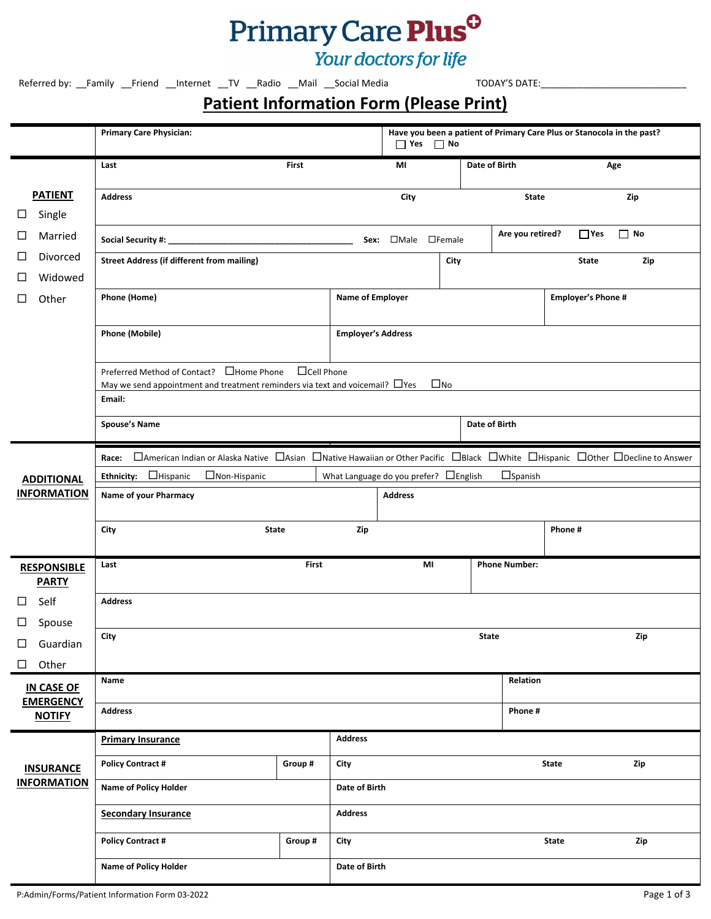# Primary Care Plus<sup>0</sup>

# Your doctors for life

Referred by: \_\_Family \_\_Friend \_\_Internet \_\_TV \_\_Radio \_\_Mail \_\_Social Media dentilled to that TODAY'S DATE:\_

# **Patient Information Form (Please Print)**

|                                       | <b>Primary Care Physician:</b>                                                                                                            |                   |                           | $\Box$ Yes $\Box$ No                   |              |               |                      | Have you been a patient of Primary Care Plus or Stanocola in the past? |           |
|---------------------------------------|-------------------------------------------------------------------------------------------------------------------------------------------|-------------------|---------------------------|----------------------------------------|--------------|---------------|----------------------|------------------------------------------------------------------------|-----------|
|                                       | Last                                                                                                                                      | <b>First</b>      |                           | MI                                     |              | Date of Birth |                      |                                                                        | Age       |
| <b>PATIENT</b><br>Single<br>$\Box$    | <b>Address</b>                                                                                                                            |                   |                           | City                                   |              |               | <b>State</b>         |                                                                        | Zip       |
| □<br>Married                          |                                                                                                                                           |                   |                           | Sex: <b>OMale OFemale</b>              |              |               | Are you retired?     | $\Box$ Yes                                                             | $\Box$ No |
| □<br>Divorced<br>$\Box$<br>Widowed    | <b>Street Address (if different from mailing)</b>                                                                                         |                   |                           |                                        | City         |               |                      | <b>State</b>                                                           | Zip       |
| □<br>Other                            | Phone (Home)                                                                                                                              |                   | <b>Name of Employer</b>   |                                        |              |               |                      | <b>Employer's Phone #</b>                                              |           |
|                                       | <b>Phone (Mobile)</b>                                                                                                                     |                   | <b>Employer's Address</b> |                                        |              |               |                      |                                                                        |           |
|                                       | Preferred Method of Contact? □ Home Phone<br>May we send appointment and treatment reminders via text and voicemail? $\Box$ Yes<br>Email: | $\Box$ Cell Phone |                           |                                        | $\square$ No |               |                      |                                                                        |           |
|                                       | <b>Spouse's Name</b>                                                                                                                      |                   |                           |                                        |              | Date of Birth |                      |                                                                        |           |
|                                       | □American Indian or Alaska Native □Asian □Native Hawaiian or Other Pacific □Black □White □Hispanic □Other □Decline to Answer<br>Race:     |                   |                           |                                        |              |               |                      |                                                                        |           |
| <b>ADDITIONAL</b>                     | Ethnicity: $\Box$ Hispanic<br>$\Box$ Non-Hispanic                                                                                         |                   |                           | What Language do you prefer? □ English |              |               | $\Box$ Spanish       |                                                                        |           |
| <b>INFORMATION</b>                    | Name of your Pharmacy<br><b>Address</b>                                                                                                   |                   |                           |                                        |              |               |                      |                                                                        |           |
|                                       | City<br>State                                                                                                                             |                   | Zip                       |                                        |              |               |                      | Phone#                                                                 |           |
| <b>RESPONSIBLE</b><br><b>PARTY</b>    | Last                                                                                                                                      | <b>First</b>      |                           | MI                                     |              |               | <b>Phone Number:</b> |                                                                        |           |
| □<br>Self<br>Spouse<br>⊔              | <b>Address</b>                                                                                                                            |                   |                           |                                        |              |               |                      |                                                                        |           |
| $\Box$<br>Guardian<br>Other<br>$\Box$ | City                                                                                                                                      |                   |                           |                                        |              | <b>State</b>  |                      |                                                                        | Zip       |
| <b>IN CASE OF</b><br><b>EMERGENCY</b> | Name                                                                                                                                      |                   |                           |                                        |              |               | Relation             |                                                                        |           |
| <b>NOTIFY</b>                         | <b>Address</b>                                                                                                                            |                   |                           |                                        |              |               | Phone#               |                                                                        |           |
|                                       | <b>Primary Insurance</b>                                                                                                                  |                   | <b>Address</b>            |                                        |              |               |                      |                                                                        |           |
| <b>INSURANCE</b>                      | <b>Policy Contract #</b>                                                                                                                  | Group #           | City                      |                                        |              |               |                      | State                                                                  | Zip       |
| <b>INFORMATION</b>                    | Name of Policy Holder                                                                                                                     | Date of Birth     |                           |                                        |              |               |                      |                                                                        |           |
|                                       | <b>Secondary Insurance</b>                                                                                                                |                   | <b>Address</b>            |                                        |              |               |                      |                                                                        |           |
|                                       | <b>Policy Contract #</b>                                                                                                                  | Group #           | City                      |                                        |              |               |                      | State                                                                  | Zip       |
|                                       | Name of Policy Holder                                                                                                                     |                   | Date of Birth             |                                        |              |               |                      |                                                                        |           |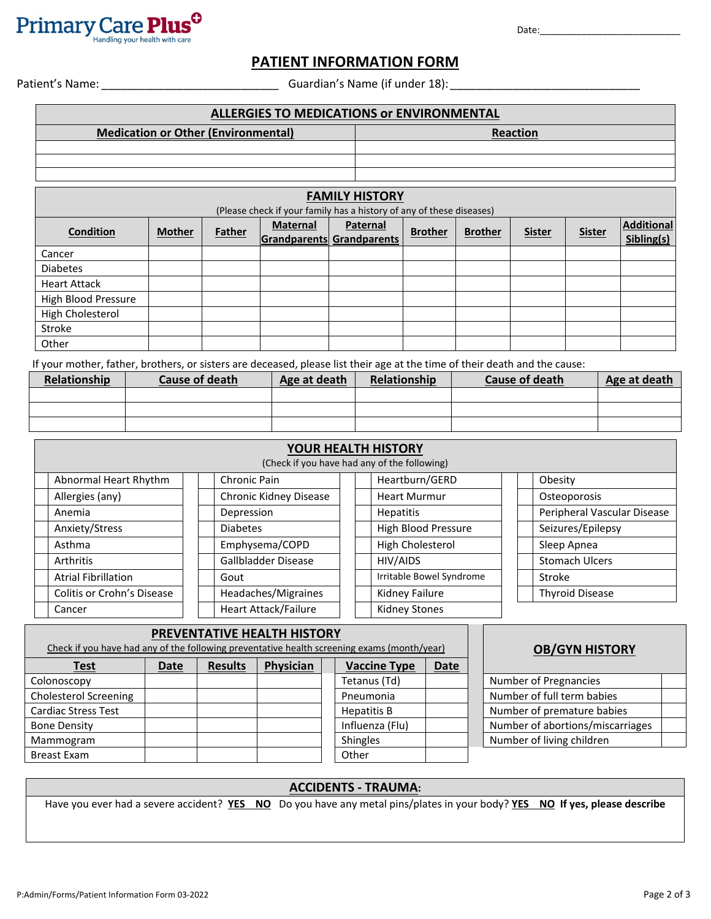

Date:\_\_\_\_\_\_\_\_\_\_\_\_\_\_\_\_\_\_\_\_\_\_\_\_\_\_\_

## **PATIENT INFORMATION FORM**

Patient's Name: \_\_\_\_\_\_\_\_\_\_\_\_\_\_\_\_\_\_\_\_\_\_\_\_\_\_\_\_ Guardian's Name (if under 18):\_\_\_\_\_\_\_\_\_\_\_\_\_\_\_\_\_\_\_\_\_\_\_\_\_\_\_\_\_\_

| <b>ALLERGIES TO MEDICATIONS OF ENVIRONMENTAL</b> |                                            |        |                 |                                                                      |                |                |               |               |                                 |
|--------------------------------------------------|--------------------------------------------|--------|-----------------|----------------------------------------------------------------------|----------------|----------------|---------------|---------------|---------------------------------|
|                                                  | <b>Medication or Other (Environmental)</b> |        |                 |                                                                      |                |                | Reaction      |               |                                 |
|                                                  |                                            |        |                 |                                                                      |                |                |               |               |                                 |
|                                                  |                                            |        |                 |                                                                      |                |                |               |               |                                 |
|                                                  |                                            |        |                 |                                                                      |                |                |               |               |                                 |
| <b>FAMILY HISTORY</b>                            |                                            |        |                 |                                                                      |                |                |               |               |                                 |
|                                                  |                                            |        |                 | (Please check if your family has a history of any of these diseases) |                |                |               |               |                                 |
| <b>Condition</b>                                 | <b>Mother</b>                              | Father | <b>Maternal</b> | Paternal<br>Grandparents Grandparents                                | <b>Brother</b> | <b>Brother</b> | <b>Sister</b> | <b>Sister</b> | <b>Additional</b><br>Sibling(s) |
| Cancer                                           |                                            |        |                 |                                                                      |                |                |               |               |                                 |
| <b>Diabetes</b>                                  |                                            |        |                 |                                                                      |                |                |               |               |                                 |
| <b>Heart Attack</b>                              |                                            |        |                 |                                                                      |                |                |               |               |                                 |
| High Blood Pressure                              |                                            |        |                 |                                                                      |                |                |               |               |                                 |
| High Cholesterol                                 |                                            |        |                 |                                                                      |                |                |               |               |                                 |
| Stroke                                           |                                            |        |                 |                                                                      |                |                |               |               |                                 |
| Other                                            |                                            |        |                 |                                                                      |                |                |               |               |                                 |

If your mother, father, brothers, or sisters are deceased, please list their age at the time of their death and the cause:

| Relationship | Cause of death | Age at death | Relationship | <b>Cause of death</b> | Age at death |
|--------------|----------------|--------------|--------------|-----------------------|--------------|
|              |                |              |              |                       |              |
|              |                |              |              |                       |              |
|              |                |              |              |                       |              |

| YOUR HEALTH HISTORY        |                                              |                          |                             |  |  |  |  |  |  |
|----------------------------|----------------------------------------------|--------------------------|-----------------------------|--|--|--|--|--|--|
|                            | (Check if you have had any of the following) |                          |                             |  |  |  |  |  |  |
| Abnormal Heart Rhythm      | Chronic Pain                                 | Heartburn/GERD           | Obesity                     |  |  |  |  |  |  |
| Allergies (any)            | Chronic Kidney Disease                       | <b>Heart Murmur</b>      | Osteoporosis                |  |  |  |  |  |  |
| Anemia                     | Depression                                   | <b>Hepatitis</b>         | Peripheral Vascular Disease |  |  |  |  |  |  |
| Anxiety/Stress             | <b>Diabetes</b>                              | High Blood Pressure      | Seizures/Epilepsy           |  |  |  |  |  |  |
| Asthma                     | Emphysema/COPD                               | High Cholesterol         | Sleep Apnea                 |  |  |  |  |  |  |
| <b>Arthritis</b>           | Gallbladder Disease                          | HIV/AIDS                 | <b>Stomach Ulcers</b>       |  |  |  |  |  |  |
| <b>Atrial Fibrillation</b> | Gout                                         | Irritable Bowel Syndrome | Stroke                      |  |  |  |  |  |  |
| Colitis or Crohn's Disease | Headaches/Migraines                          | Kidney Failure           | <b>Thyroid Disease</b>      |  |  |  |  |  |  |
| Cancer                     | <b>Heart Attack/Failure</b>                  | Kidney Stones            |                             |  |  |  |  |  |  |

| Check if you have had any of the following preventative health screening exams (month/year) | PREVENTATIVE HEALTH HISTORY |                | <b>OB/GYN HISTORY</b> |                     |             |                                  |
|---------------------------------------------------------------------------------------------|-----------------------------|----------------|-----------------------|---------------------|-------------|----------------------------------|
| <b>Test</b>                                                                                 | <b>Date</b>                 | <b>Results</b> | Physician             | <b>Vaccine Type</b> | <b>Date</b> |                                  |
| Colonoscopy                                                                                 |                             |                |                       | Tetanus (Td)        |             | Number of Pregnancies            |
| <b>Cholesterol Screening</b>                                                                |                             |                |                       | Pneumonia           |             | Number of full term babies       |
| <b>Cardiac Stress Test</b>                                                                  |                             |                |                       | Hepatitis B         |             | Number of premature babies       |
| <b>Bone Density</b>                                                                         |                             |                |                       | Influenza (Flu)     |             | Number of abortions/miscarriages |
| Mammogram                                                                                   |                             |                |                       | <b>Shingles</b>     |             | Number of living children        |
| Breast Exam                                                                                 |                             |                |                       | Other               |             |                                  |

### **ACCIDENTS - TRAUMA:**

Have you ever had a severe accident? **YES NO** Do you have any metal pins/plates in your body? **YES NO If yes, please describe**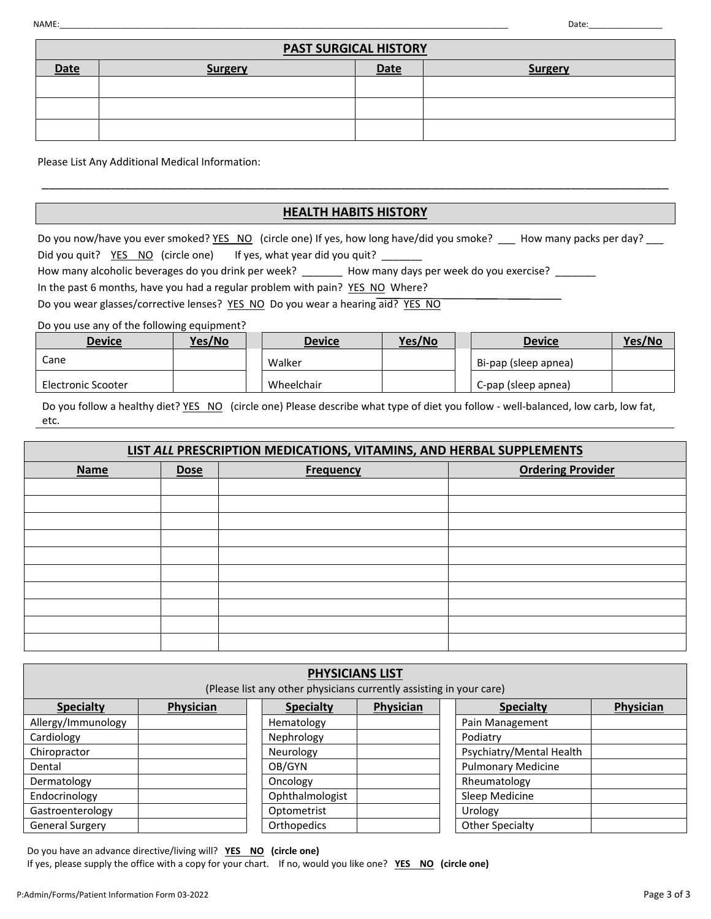| <b>PAST SURGICAL HISTORY</b> |                |      |         |  |  |  |
|------------------------------|----------------|------|---------|--|--|--|
| Date                         | <b>Surgery</b> | Date | Surgery |  |  |  |
|                              |                |      |         |  |  |  |
|                              |                |      |         |  |  |  |
|                              |                |      |         |  |  |  |

Please List Any Additional Medical Information:

## **HEALTH HABITS HISTORY**

\_\_\_\_\_\_\_\_\_\_\_\_\_\_\_\_\_\_\_\_\_\_\_\_\_\_\_\_\_\_\_\_\_\_\_\_\_\_\_\_\_\_\_\_\_\_\_\_\_\_\_\_\_\_\_\_\_\_\_\_\_\_\_\_\_\_\_\_\_\_\_\_\_\_\_\_\_\_\_\_\_\_\_\_\_\_\_\_\_\_

Do you now/have you ever smoked? YES NO (circle one) If yes, how long have/did you smoke? \_\_\_ How many packs per day? Did you quit? YES NO (circle one) If yes, what year did you quit? \_\_\_\_\_\_

How many alcoholic beverages do you drink per week? \_\_\_\_\_\_\_\_ How many days per week do you exercise? \_\_\_\_\_\_\_

In the past 6 months, have you had a regular problem with pain? YES NO Where?

Do you wear glasses/corrective lenses? YES NO Do you wear a hearing aid? YES NO

Do you use any of the following equipment?

| <b>Device</b>      | Yes/No | <b>Device</b> | Yes/No | <b>Device</b>        | Yes/No |
|--------------------|--------|---------------|--------|----------------------|--------|
| Cane               |        | Walker        |        | Bi-pap (sleep apnea) |        |
| Electronic Scooter |        | Wheelchair    |        | C-pap (sleep apnea)  |        |

Do you follow a healthy diet? YES NO (circle one) Please describe what type of diet you follow - well-balanced, low carb, low fat, etc.

#### **LIST** *ALL* **PRESCRIPTION MEDICATIONS, VITAMINS, AND HERBAL SUPPLEMENTS**

| <b>Name</b> | <b>Dose</b> | <b>Frequency</b> | <b>Ordering Provider</b> |
|-------------|-------------|------------------|--------------------------|
|             |             |                  |                          |
|             |             |                  |                          |
|             |             |                  |                          |
|             |             |                  |                          |
|             |             |                  |                          |
|             |             |                  |                          |
|             |             |                  |                          |
|             |             |                  |                          |
|             |             |                  |                          |
|             |             |                  |                          |

| <b>PHYSICIANS LIST</b><br>(Please list any other physicians currently assisting in your care) |           |  |                    |           |  |                           |           |
|-----------------------------------------------------------------------------------------------|-----------|--|--------------------|-----------|--|---------------------------|-----------|
| <b>Specialty</b>                                                                              | Physician |  | <b>Specialty</b>   | Physician |  | <b>Specialty</b>          | Physician |
| Allergy/Immunology                                                                            |           |  | Hematology         |           |  | Pain Management           |           |
| Cardiology                                                                                    |           |  | Nephrology         |           |  | Podiatry                  |           |
| Chiropractor                                                                                  |           |  | Neurology          |           |  | Psychiatry/Mental Health  |           |
| Dental                                                                                        |           |  | OB/GYN             |           |  | <b>Pulmonary Medicine</b> |           |
| Dermatology                                                                                   |           |  | Oncology           |           |  | Rheumatology              |           |
| Endocrinology                                                                                 |           |  | Ophthalmologist    |           |  | Sleep Medicine            |           |
| Gastroenterology                                                                              |           |  | Optometrist        |           |  | Urology                   |           |
| <b>General Surgery</b>                                                                        |           |  | <b>Orthopedics</b> |           |  | <b>Other Specialty</b>    |           |

Do you have an advance directive/living will? **YES NO (circle one)** 

If yes, please supply the office with a copy for your chart. If no, would you like one? **YES NO (circle one)**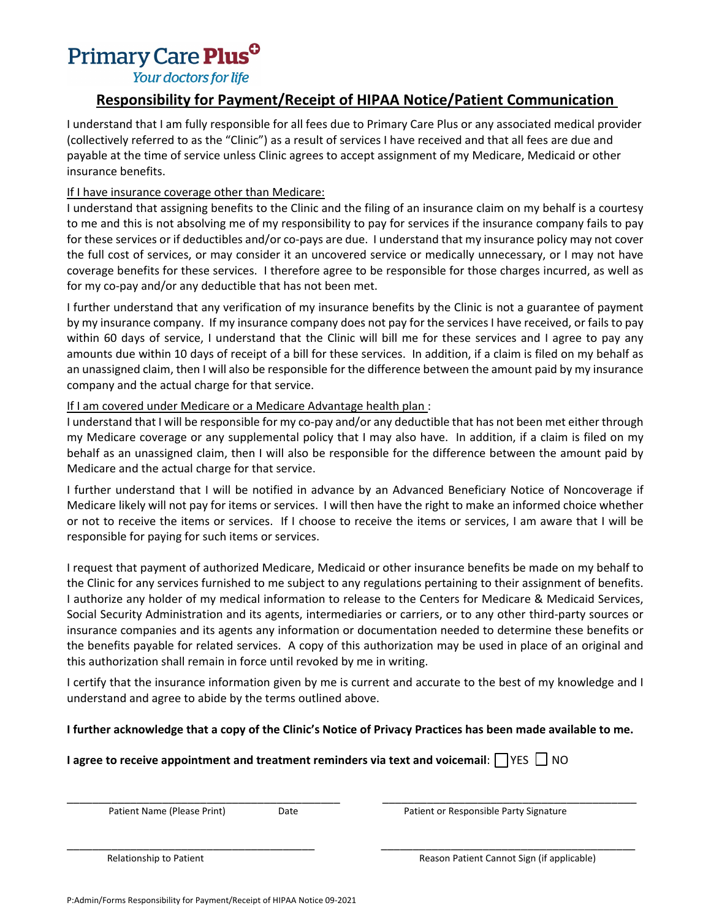# Primary Care Plus<sup>o</sup>

Your doctors for life

# **Responsibility for Payment/Receipt of HIPAA Notice/Patient Communication**

I understand that I am fully responsible for all fees due to Primary Care Plus or any associated medical provider (collectively referred to as the "Clinic") as a result of services I have received and that all fees are due and payable at the time of service unless Clinic agrees to accept assignment of my Medicare, Medicaid or other insurance benefits.

## If I have insurance coverage other than Medicare:

I understand that assigning benefits to the Clinic and the filing of an insurance claim on my behalf is a courtesy to me and this is not absolving me of my responsibility to pay for services if the insurance company fails to pay for these services or if deductibles and/or co-pays are due. I understand that my insurance policy may not cover the full cost of services, or may consider it an uncovered service or medically unnecessary, or I may not have coverage benefits for these services. I therefore agree to be responsible for those charges incurred, as well as for my co-pay and/or any deductible that has not been met.

I further understand that any verification of my insurance benefits by the Clinic is not a guarantee of payment by my insurance company. If my insurance company does not pay for the services I have received, or fails to pay within 60 days of service, I understand that the Clinic will bill me for these services and I agree to pay any amounts due within 10 days of receipt of a bill for these services. In addition, if a claim is filed on my behalf as an unassigned claim, then I will also be responsible for the difference between the amount paid by my insurance company and the actual charge for that service.

## If I am covered under Medicare or a Medicare Advantage health plan :

I understand that I will be responsible for my co-pay and/or any deductible that has not been met either through my Medicare coverage or any supplemental policy that I may also have. In addition, if a claim is filed on my behalf as an unassigned claim, then I will also be responsible for the difference between the amount paid by Medicare and the actual charge for that service.

I further understand that I will be notified in advance by an Advanced Beneficiary Notice of Noncoverage if Medicare likely will not pay for items or services. I will then have the right to make an informed choice whether or not to receive the items or services. If I choose to receive the items or services, I am aware that I will be responsible for paying for such items or services.

I request that payment of authorized Medicare, Medicaid or other insurance benefits be made on my behalf to the Clinic for any services furnished to me subject to any regulations pertaining to their assignment of benefits. I authorize any holder of my medical information to release to the Centers for Medicare & Medicaid Services, Social Security Administration and its agents, intermediaries or carriers, or to any other third-party sources or insurance companies and its agents any information or documentation needed to determine these benefits or the benefits payable for related services. A copy of this authorization may be used in place of an original and this authorization shall remain in force until revoked by me in writing.

I certify that the insurance information given by me is current and accurate to the best of my knowledge and I understand and agree to abide by the terms outlined above.

## **I further acknowledge that a copy of the Clinic's Notice of Privacy Practices has been made available to me.**

\_\_\_\_\_\_\_\_\_\_\_\_\_\_\_\_\_\_\_\_\_\_\_\_\_\_\_\_\_\_\_\_\_\_\_\_\_\_\_ \_\_\_\_\_\_\_\_\_\_\_\_\_\_\_\_\_\_\_\_\_\_\_\_\_\_\_\_\_\_\_\_\_\_\_\_\_\_\_\_

## **I** agree to receive appointment and treatment reminders via text and voicemail:  $\bigcap$  YES  $\bigcup$  NO

\_\_\_\_\_\_\_\_\_\_\_\_\_\_\_\_\_\_\_\_\_\_\_\_\_\_\_\_\_\_\_\_\_\_\_\_\_\_\_\_\_\_\_ \_\_\_\_\_\_\_\_\_\_\_\_\_\_\_\_\_\_\_\_\_\_\_\_\_\_\_\_\_\_\_\_\_\_\_\_\_\_\_\_

Patient Name (Please Print) Date Patient or Responsible Party Signature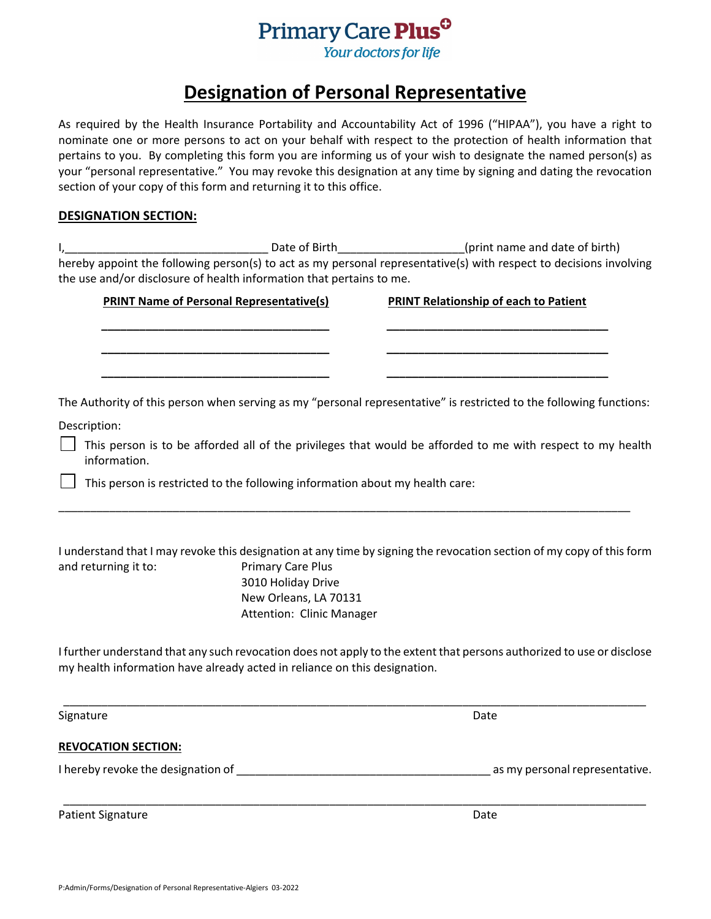

# **Designation of Personal Representative**

As required by the Health Insurance Portability and Accountability Act of 1996 ("HIPAA"), you have a right to nominate one or more persons to act on your behalf with respect to the protection of health information that pertains to you. By completing this form you are informing us of your wish to designate the named person(s) as your "personal representative." You may revoke this designation at any time by signing and dating the revocation section of your copy of this form and returning it to this office.

#### **DESIGNATION SECTION:**

| Date of Birth                                                        | (print name and date of birth)                                                                                     |
|----------------------------------------------------------------------|--------------------------------------------------------------------------------------------------------------------|
|                                                                      | hereby appoint the following person(s) to act as my personal representative(s) with respect to decisions involving |
| the use and/or disclosure of health information that pertains to me. |                                                                                                                    |

**\_\_\_\_\_\_\_\_\_\_\_\_\_\_\_\_\_\_\_\_\_\_\_\_\_\_\_\_\_\_\_\_\_\_\_\_ \_\_\_\_\_\_\_\_\_\_\_\_\_\_\_\_\_\_\_\_\_\_\_\_\_\_\_\_\_\_\_\_\_\_\_**

**\_\_\_\_\_\_\_\_\_\_\_\_\_\_\_\_\_\_\_\_\_\_\_\_\_\_\_\_\_\_\_\_\_\_\_\_ \_\_\_\_\_\_\_\_\_\_\_\_\_\_\_\_\_\_\_\_\_\_\_\_\_\_\_\_\_\_\_\_\_\_\_**

**\_\_\_\_\_\_\_\_\_\_\_\_\_\_\_\_\_\_\_\_\_\_\_\_\_\_\_\_\_\_\_\_\_\_\_\_ \_\_\_\_\_\_\_\_\_\_\_\_\_\_\_\_\_\_\_\_\_\_\_\_\_\_\_\_\_\_\_\_\_\_\_**

**PRINT Name of Personal Representative(s) PRINT Relationship of each to Patient**

The Authority of this person when serving as my "personal representative" is restricted to the following functions:

Description:

 $\Box$  This person is to be afforded all of the privileges that would be afforded to me with respect to my health information.

This person is restricted to the following information about my health care:

|                      | I understand that I may revoke this designation at any time by signing the revocation section of my copy of this form |
|----------------------|-----------------------------------------------------------------------------------------------------------------------|
| and returning it to: | <b>Primary Care Plus</b>                                                                                              |
|                      | 3010 Holiday Drive                                                                                                    |
|                      | New Orleans, LA 70131                                                                                                 |
|                      | Attention: Clinic Manager                                                                                             |

\_\_\_\_\_\_\_\_\_\_\_\_\_\_\_\_\_\_\_\_\_\_\_\_\_\_\_\_\_\_\_\_\_\_\_\_\_\_\_\_\_\_\_\_\_\_\_\_\_\_\_\_\_\_\_\_\_\_\_\_\_\_\_\_\_\_\_\_\_\_\_\_\_\_\_\_\_\_\_\_\_\_\_\_\_\_\_\_\_\_

I further understand that any such revocation does not apply to the extent that persons authorized to use or disclose my health information have already acted in reliance on this designation.

\_\_\_\_\_\_\_\_\_\_\_\_\_\_\_\_\_\_\_\_\_\_\_\_\_\_\_\_\_\_\_\_\_\_\_\_\_\_\_\_\_\_\_\_\_\_\_\_\_\_\_\_\_\_\_\_\_\_\_\_\_\_\_\_\_\_\_\_\_\_\_\_\_\_\_\_\_\_\_\_\_\_\_\_\_\_\_\_\_\_\_\_ Signature **Date REVOCATION SECTION:** I hereby revoke the designation of \_\_\_\_\_\_\_\_\_\_\_\_\_\_\_\_\_\_\_\_\_\_\_\_\_\_\_\_\_\_\_\_\_\_\_\_\_\_\_\_ as my personal representative. \_\_\_\_\_\_\_\_\_\_\_\_\_\_\_\_\_\_\_\_\_\_\_\_\_\_\_\_\_\_\_\_\_\_\_\_\_\_\_\_\_\_\_\_\_\_\_\_\_\_\_\_\_\_\_\_\_\_\_\_\_\_\_\_\_\_\_\_\_\_\_\_\_\_\_\_\_\_\_\_\_\_\_\_\_\_\_\_\_\_\_\_ Patient Signature Date Date of the Second Library and Date Date Date Date Date Date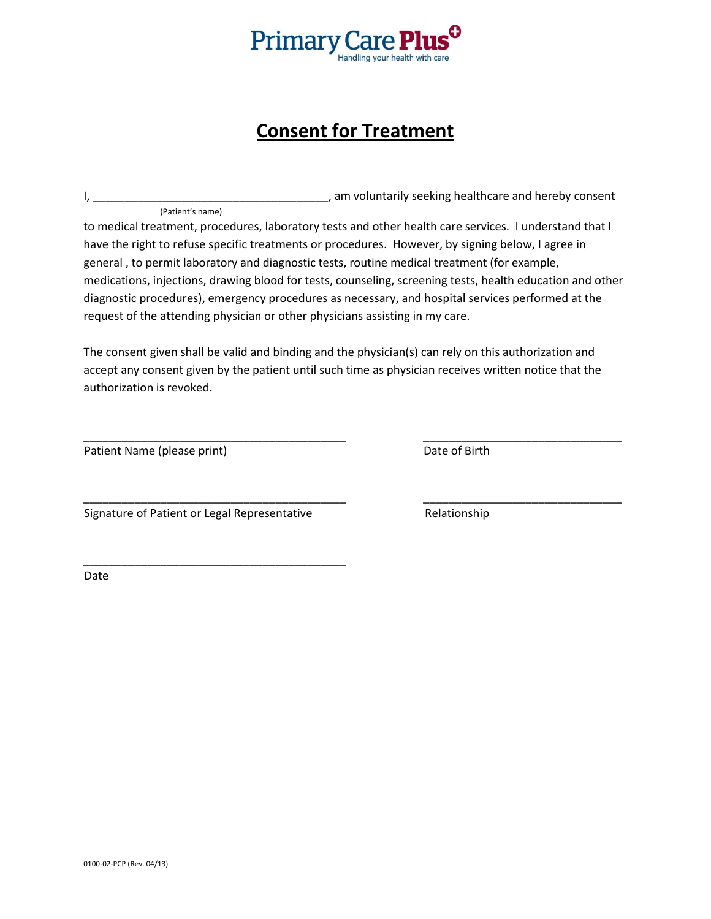

# **Consent for Treatment**

|                  | , am voluntarily seeking healthcare and hereby consent |
|------------------|--------------------------------------------------------|
| (Patient's name) |                                                        |

to medical treatment, procedures, laboratory tests and other health care services. I understand that I have the right to refuse specific treatments or procedures. However, by signing below, I agree in general , to permit laboratory and diagnostic tests, routine medical treatment (for example, medications, injections, drawing blood for tests, counseling, screening tests, health education and other diagnostic procedures), emergency procedures as necessary, and hospital services performed at the request of the attending physician or other physicians assisting in my care.

The consent given shall be valid and binding and the physician(s) can rely on this authorization and accept any consent given by the patient until such time as physician receives written notice that the authorization is revoked.

\_\_\_\_\_\_\_\_\_\_\_\_\_\_\_\_\_\_\_\_\_\_\_\_\_\_\_\_\_\_\_\_\_\_\_\_\_\_\_\_\_ \_\_\_\_\_\_\_\_\_\_\_\_\_\_\_\_\_\_\_\_\_\_\_\_\_\_\_\_\_\_\_

\_\_\_\_\_\_\_\_\_\_\_\_\_\_\_\_\_\_\_\_\_\_\_\_\_\_\_\_\_\_\_\_\_\_\_\_\_\_\_\_\_ \_\_\_\_\_\_\_\_\_\_\_\_\_\_\_\_\_\_\_\_\_\_\_\_\_\_\_\_\_\_\_

Patient Name (please print) Date of Birth

Signature of Patient or Legal Representative **Relationship** Relationship

\_\_\_\_\_\_\_\_\_\_\_\_\_\_\_\_\_\_\_\_\_\_\_\_\_\_\_\_\_\_\_\_\_\_\_\_\_\_\_\_\_

Date